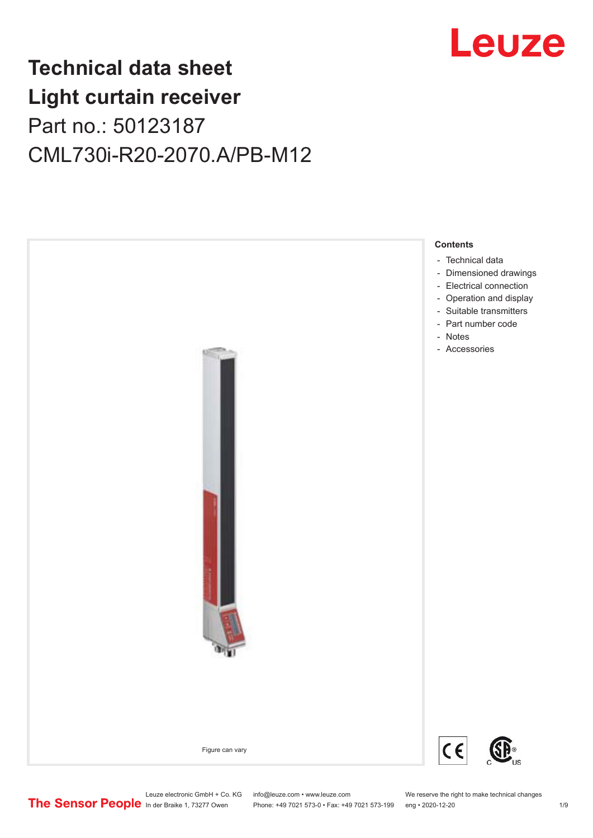

## **Technical data sheet Light curtain receiver** Part no.: 50123187 CML730i-R20-2070.A/PB-M12



Phone: +49 7021 573-0 • Fax: +49 7021 573-199 eng • 2020-12-20 1 2020-12-20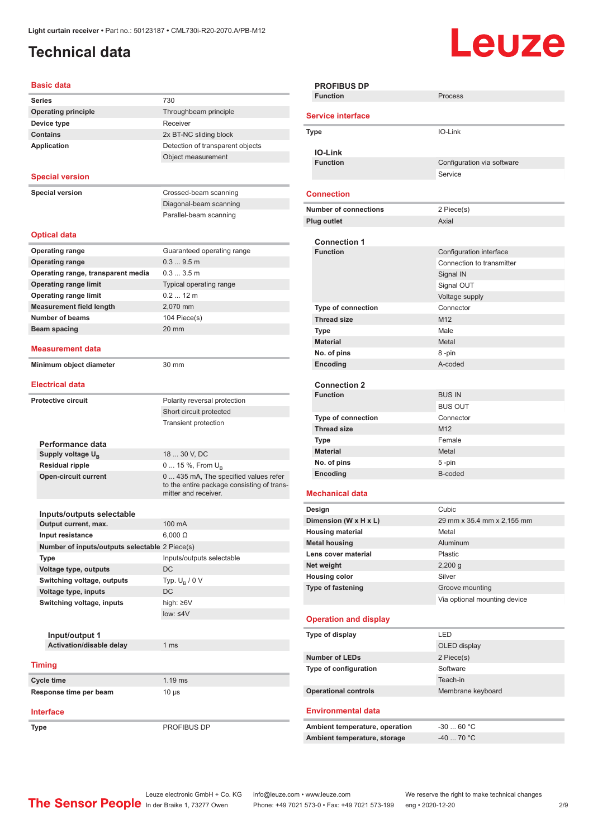## <span id="page-1-0"></span>**Technical data**

# Leuze

#### **Basic data**

| Dasit uata                                        |                                            |
|---------------------------------------------------|--------------------------------------------|
| <b>Series</b>                                     | 730                                        |
| <b>Operating principle</b>                        | Throughbeam principle                      |
| Device type                                       | Receiver                                   |
| <b>Contains</b>                                   | 2x BT-NC sliding block                     |
| <b>Application</b>                                | Detection of transparent objects           |
|                                                   | Object measurement                         |
|                                                   |                                            |
| <b>Special version</b>                            |                                            |
| <b>Special version</b>                            | Crossed-beam scanning                      |
|                                                   | Diagonal-beam scanning                     |
|                                                   | Parallel-beam scanning                     |
|                                                   |                                            |
| <b>Optical data</b>                               |                                            |
| <b>Operating range</b>                            | Guaranteed operating range                 |
| <b>Operating range</b>                            | 0.39.5m                                    |
| Operating range, transparent media                | 0.33.5m                                    |
| <b>Operating range limit</b>                      | Typical operating range                    |
| <b>Operating range limit</b>                      | $0.212$ m                                  |
| <b>Measurement field length</b>                   | 2,070 mm                                   |
| <b>Number of beams</b>                            |                                            |
|                                                   | 104 Piece(s)                               |
| Beam spacing                                      | 20 mm                                      |
| Measurement data                                  |                                            |
| Minimum object diameter                           | 30 mm                                      |
|                                                   |                                            |
| <b>Electrical data</b>                            |                                            |
| <b>Protective circuit</b>                         | Polarity reversal protection               |
|                                                   | Short circuit protected                    |
|                                                   | <b>Transient protection</b>                |
|                                                   |                                            |
| Performance data                                  |                                            |
| Supply voltage U <sub>B</sub>                     | 18  30 V, DC                               |
| <b>Residual ripple</b>                            | 0  15 %, From $U_{\rm B}$                  |
| <b>Open-circuit current</b>                       | 0  435 mA, The specified values refer      |
|                                                   | to the entire package consisting of trans- |
|                                                   | mitter and receiver.                       |
|                                                   |                                            |
| Inputs/outputs selectable<br>Output current, max. | 100 mA                                     |
| Input resistance                                  | $6,000 \Omega$                             |
|                                                   |                                            |
| Number of inputs/outputs selectable 2 Piece(s)    |                                            |
| Type                                              | Inputs/outputs selectable                  |
| Voltage type, outputs                             | DC                                         |
| Switching voltage, outputs                        | Typ. $U_R / 0 V$                           |
| Voltage type, inputs                              | DC                                         |
| Switching voltage, inputs                         | high: $\geq 6V$                            |
|                                                   | $low: \leq 4V$                             |
|                                                   |                                            |
| Input/output 1                                    |                                            |
| Activation/disable delay                          | 1 <sub>ms</sub>                            |
| <b>Timing</b>                                     |                                            |
| Cycle time                                        | $1.19$ ms                                  |
| Response time per beam                            | $10 \mu s$                                 |
|                                                   |                                            |
| <b>Interface</b>                                  |                                            |
| Type                                              | PROFIBUS DP                                |
|                                                   |                                            |

| <b>PROFIBUS DP</b>             |                              |
|--------------------------------|------------------------------|
| <b>Function</b>                | Process                      |
|                                |                              |
| <b>Service interface</b>       |                              |
| Type                           | IO-Link                      |
| <b>IO-Link</b>                 |                              |
| <b>Function</b>                | Configuration via software   |
|                                | Service                      |
|                                |                              |
| <b>Connection</b>              |                              |
| <b>Number of connections</b>   | 2 Piece(s)                   |
| Plug outlet                    | Axial                        |
|                                |                              |
| <b>Connection 1</b>            |                              |
| <b>Function</b>                | Configuration interface      |
|                                | Connection to transmitter    |
|                                | Signal IN                    |
|                                | Signal OUT                   |
|                                | Voltage supply               |
| <b>Type of connection</b>      | Connector                    |
|                                |                              |
| <b>Thread size</b>             | M12                          |
| Type                           | Male                         |
| <b>Material</b>                | Metal                        |
| No. of pins                    | 8-pin                        |
| Encoding                       | A-coded                      |
|                                |                              |
| <b>Connection 2</b>            |                              |
| <b>Function</b>                | <b>BUS IN</b>                |
|                                | <b>BUS OUT</b>               |
| <b>Type of connection</b>      | Connector                    |
| <b>Thread size</b>             | M12                          |
| Type                           | Female                       |
| <b>Material</b>                | Metal                        |
| No. of pins                    | 5-pin                        |
| Encoding                       | B-coded                      |
|                                |                              |
| <b>Mechanical data</b>         |                              |
| Design                         | Cubic                        |
| Dimension (W x H x L)          | 29 mm x 35.4 mm x 2,155 mm   |
| <b>Housing material</b>        | Metal                        |
| <b>Metal housing</b>           | Aluminum                     |
| Lens cover material            | Plastic                      |
| Net weight                     | $2,200$ g                    |
| <b>Housing color</b>           | Silver                       |
| Type of fastening              | Groove mounting              |
|                                | Via optional mounting device |
|                                |                              |
| <b>Operation and display</b>   |                              |
| Type of display                | LED                          |
|                                | OLED display                 |
| <b>Number of LEDs</b>          | 2 Piece(s)                   |
|                                |                              |
| Type of configuration          | Software                     |
|                                | Teach-in                     |
| <b>Operational controls</b>    | Membrane keyboard            |
| <b>Environmental data</b>      |                              |
|                                |                              |
| Ambient temperature, operation | $-3060 °C$                   |
| Ambient temperature, storage   | $-40$ 70 °C                  |
|                                |                              |
|                                |                              |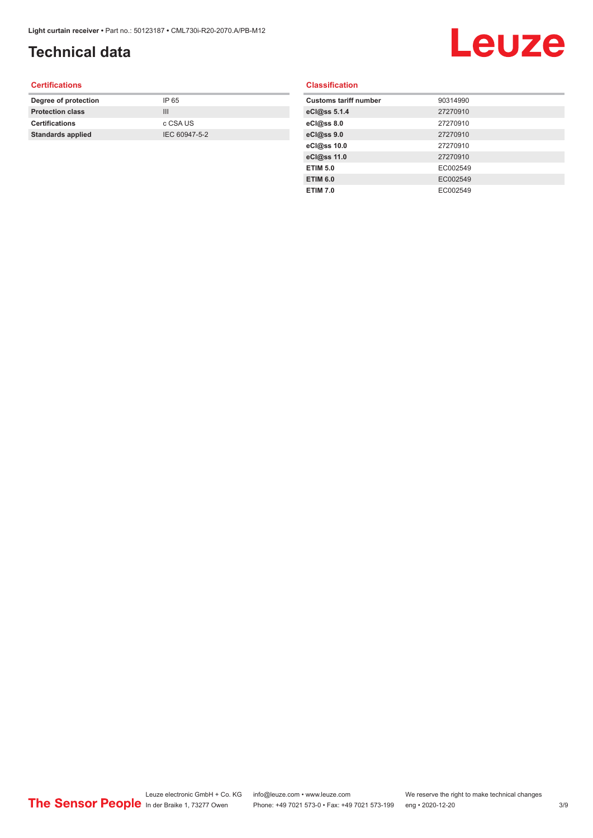## **Technical data**

# Leuze

#### **Certifications**

| Degree of protection     | IP 65         |
|--------------------------|---------------|
| <b>Protection class</b>  | Ш             |
| <b>Certifications</b>    | c CSA US      |
| <b>Standards applied</b> | IEC 60947-5-2 |
|                          |               |

#### **Classification**

| <b>Customs tariff number</b> | 90314990 |
|------------------------------|----------|
| eCl@ss 5.1.4                 | 27270910 |
| eCl@ss 8.0                   | 27270910 |
| eCl@ss 9.0                   | 27270910 |
| eCl@ss 10.0                  | 27270910 |
| eCl@ss 11.0                  | 27270910 |
| <b>ETIM 5.0</b>              | EC002549 |
| <b>ETIM 6.0</b>              | EC002549 |
| <b>ETIM 7.0</b>              | EC002549 |
|                              |          |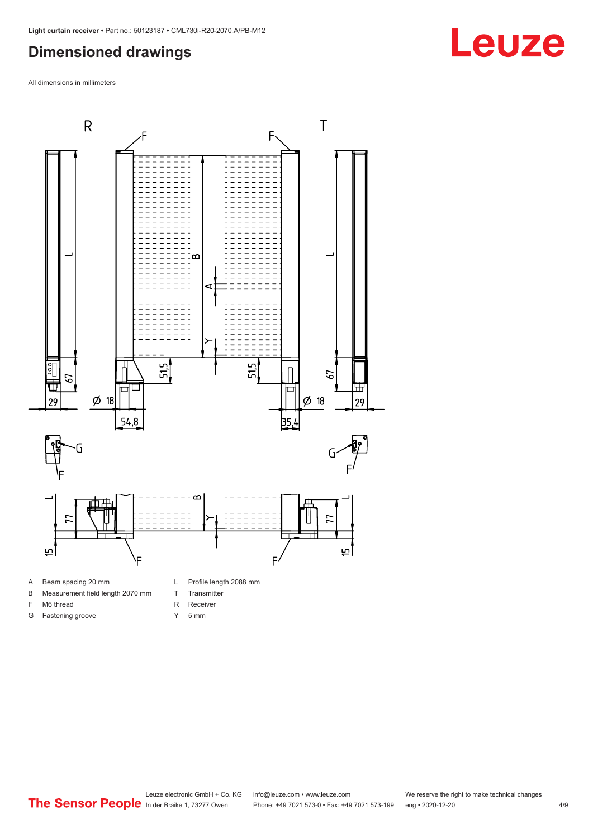#### <span id="page-3-0"></span>**Dimensioned drawings**

All dimensions in millimeters



- A Beam spacing 20 mm
- B Measurement field length 2070 mm
- F M6 thread
- G Fastening groove
- 
- T Transmitter
- R Receiver
- Y 5 mm

Leuze electronic GmbH + Co. KG info@leuze.com • www.leuze.com We reserve the right to make technical changes<br>
The Sensor People in der Braike 1, 73277 Owen Phone: +49 7021 573-0 • Fax: +49 7021 573-199 eng • 2020-12-20 Phone: +49 7021 573-0 • Fax: +49 7021 573-199 eng • 2020-12-20 4/9

## **Leuze**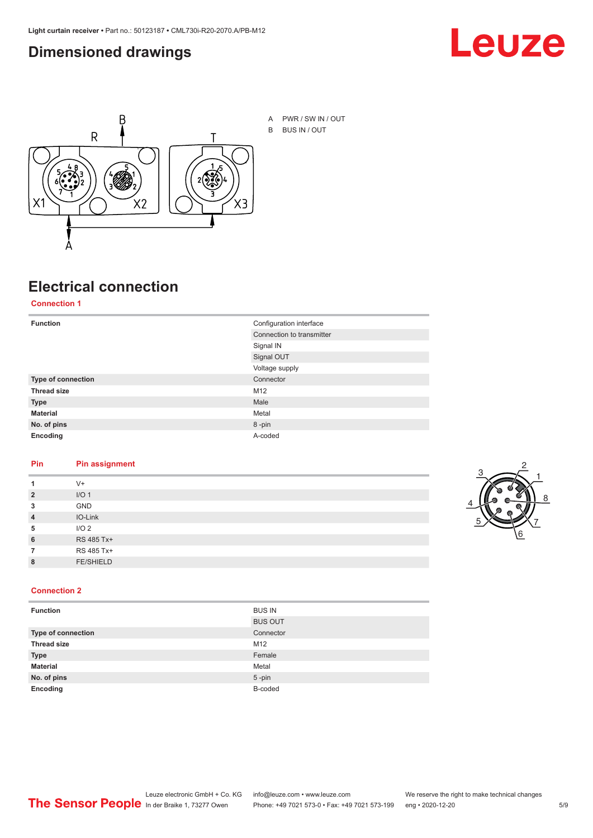#### <span id="page-4-0"></span>**Dimensioned drawings**





## **Electrical connection**

**Connection 1**

| <b>Function</b>    | Configuration interface   |
|--------------------|---------------------------|
|                    | Connection to transmitter |
|                    | Signal IN                 |
|                    | Signal OUT                |
|                    | Voltage supply            |
| Type of connection | Connector                 |
| <b>Thread size</b> | M12                       |
| <b>Type</b>        | Male                      |
| <b>Material</b>    | Metal                     |
| No. of pins        | 8-pin                     |
| Encoding           | A-coded                   |

#### **Pin Pin assignment**

|                | $V +$            |  |  |
|----------------|------------------|--|--|
| $\overline{2}$ | I/O <sub>1</sub> |  |  |
| 3              | <b>GND</b>       |  |  |
| $\overline{4}$ | IO-Link          |  |  |
| 5              | I/O <sub>2</sub> |  |  |
| 6              | RS 485 Tx+       |  |  |
|                | RS 485 Tx+       |  |  |
| 8              | <b>FE/SHIELD</b> |  |  |
|                |                  |  |  |



#### **Connection 2**

| <b>Function</b>    | <b>BUS IN</b>  |
|--------------------|----------------|
|                    | <b>BUS OUT</b> |
| Type of connection | Connector      |
| <b>Thread size</b> | M12            |
| <b>Type</b>        | Female         |
| <b>Material</b>    | Metal          |
| No. of pins        | $5$ -pin       |
| Encoding           | B-coded        |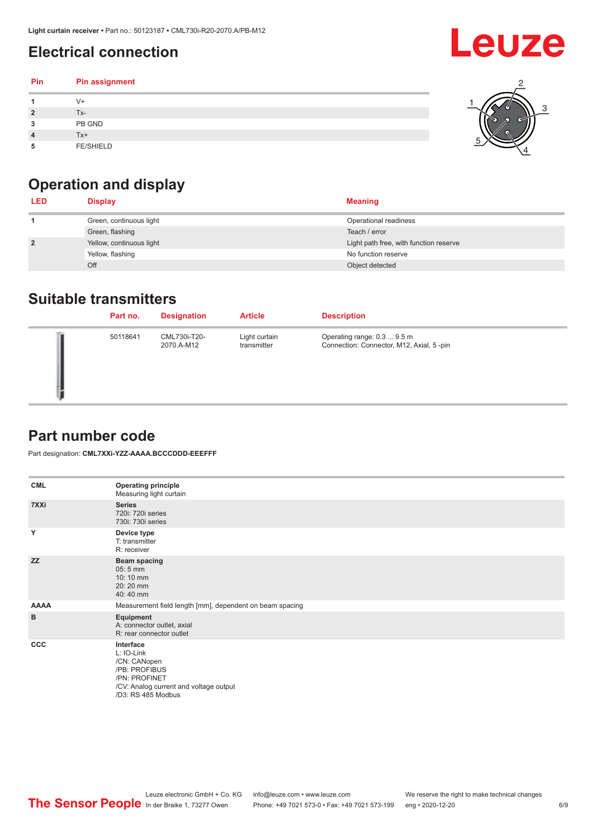### <span id="page-5-0"></span>**Electrical connection**

#### **Pin Pin assignment 1** V+ **2** Tx-**3** PB GND **4** Tx+ **5** FE/SHIELD 3 2 1 5 4

## **Operation and display**

| <b>LED</b>     | <b>Display</b>           | <b>Meaning</b>                         |
|----------------|--------------------------|----------------------------------------|
|                | Green, continuous light  | Operational readiness                  |
|                | Green, flashing          | Teach / error                          |
| $\overline{2}$ | Yellow, continuous light | Light path free, with function reserve |
|                | Yellow, flashing         | No function reserve                    |
|                | Off                      | Object detected                        |

#### **Suitable transmitters**

| Part no. | <b>Designation</b>         | <b>Article</b>               | <b>Description</b>                                                       |
|----------|----------------------------|------------------------------|--------------------------------------------------------------------------|
| 50118641 | CML730i-T20-<br>2070.A-M12 | Light curtain<br>transmitter | Operating range: 0.3  9.5 m<br>Connection: Connector, M12, Axial, 5 -pin |

#### **Part number code**

Part designation: **CML7XXi-YZZ-AAAA.BCCCDDD-EEEFFF**

| <b>CML</b>   | <b>Operating principle</b><br>Measuring light curtain                                                                                     |
|--------------|-------------------------------------------------------------------------------------------------------------------------------------------|
| 7XXi         | <b>Series</b><br>720i: 720i series<br>730i: 730i series                                                                                   |
| Y            | Device type<br>T: transmitter<br>R: receiver                                                                                              |
| <b>ZZ</b>    | <b>Beam spacing</b><br>$05:5$ mm<br>10:10 mm<br>20:20 mm<br>40:40 mm                                                                      |
| <b>AAAA</b>  | Measurement field length [mm], dependent on beam spacing                                                                                  |
| B            | Equipment<br>A: connector outlet, axial<br>R: rear connector outlet                                                                       |
| $_{\rm ccc}$ | Interface<br>L: IO-Link<br>/CN: CANopen<br>/PB: PROFIBUS<br>/PN: PROFINET<br>/CV: Analog current and voltage output<br>/D3: RS 485 Modbus |

**Leuze**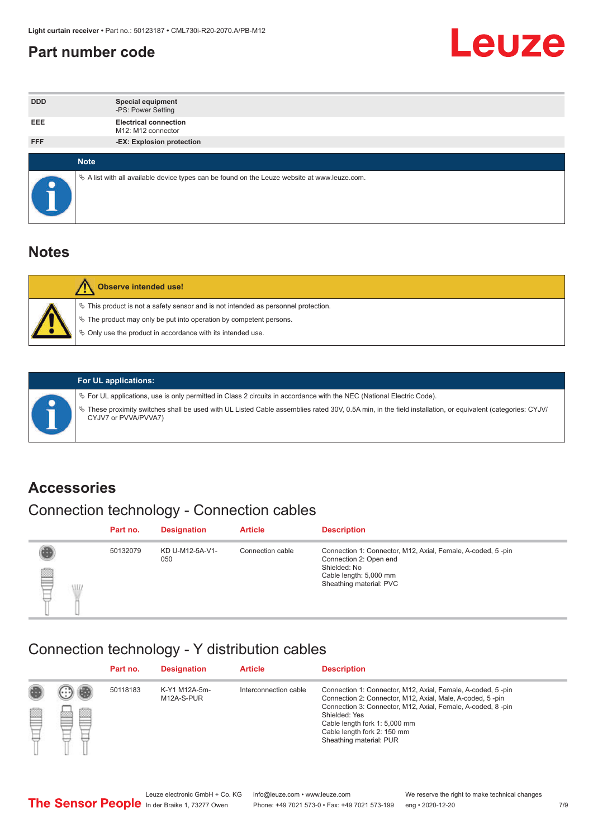#### <span id="page-6-0"></span>**Part number code**



| <b>DDD</b> | <b>Special equipment</b><br>-PS: Power Setting                                                  |
|------------|-------------------------------------------------------------------------------------------------|
| <b>EEE</b> | <b>Electrical connection</b><br>M12: M12 connector                                              |
| <b>FFF</b> | -EX: Explosion protection                                                                       |
|            |                                                                                                 |
|            | <b>Note</b>                                                                                     |
|            | $\&$ A list with all available device types can be found on the Leuze website at www.leuze.com. |

#### **Notes**

| Observe intended use!                                                                                                                                                                                                            |
|----------------------------------------------------------------------------------------------------------------------------------------------------------------------------------------------------------------------------------|
| $\%$ This product is not a safety sensor and is not intended as personnel protection.<br>$\%$ The product may only be put into operation by competent persons.<br>$\%$ Only use the product in accordance with its intended use. |
|                                                                                                                                                                                                                                  |



#### **For UL applications:**

ª For UL applications, use is only permitted in Class 2 circuits in accordance with the NEC (National Electric Code). ª These proximity switches shall be used with UL Listed Cable assemblies rated 30V, 0.5A min, in the field installation, or equivalent (categories: CYJV/ CYJV7 or PVVA/PVVA7)

#### **Accessories**

## Connection technology - Connection cables

|        | Part no. | <b>Designation</b>     | <b>Article</b>   | <b>Description</b>                                                                                                                                         |
|--------|----------|------------------------|------------------|------------------------------------------------------------------------------------------------------------------------------------------------------------|
| 2<br>W | 50132079 | KD U-M12-5A-V1-<br>050 | Connection cable | Connection 1: Connector, M12, Axial, Female, A-coded, 5-pin<br>Connection 2: Open end<br>Shielded: No<br>Cable length: 5,000 mm<br>Sheathing material: PVC |

#### Connection technology - Y distribution cables

|             |   | Part no. | <b>Designation</b>          | <b>Article</b>        | <b>Description</b>                                                                                                                                                                                                                                                                                  |
|-------------|---|----------|-----------------------------|-----------------------|-----------------------------------------------------------------------------------------------------------------------------------------------------------------------------------------------------------------------------------------------------------------------------------------------------|
| 圔<br>⋿<br>٣ | ø | 50118183 | K-Y1 M12A-5m-<br>M12A-S-PUR | Interconnection cable | Connection 1: Connector, M12, Axial, Female, A-coded, 5-pin<br>Connection 2: Connector, M12, Axial, Male, A-coded, 5-pin<br>Connection 3: Connector, M12, Axial, Female, A-coded, 8-pin<br>Shielded: Yes<br>Cable length fork 1: 5,000 mm<br>Cable length fork 2: 150 mm<br>Sheathing material: PUR |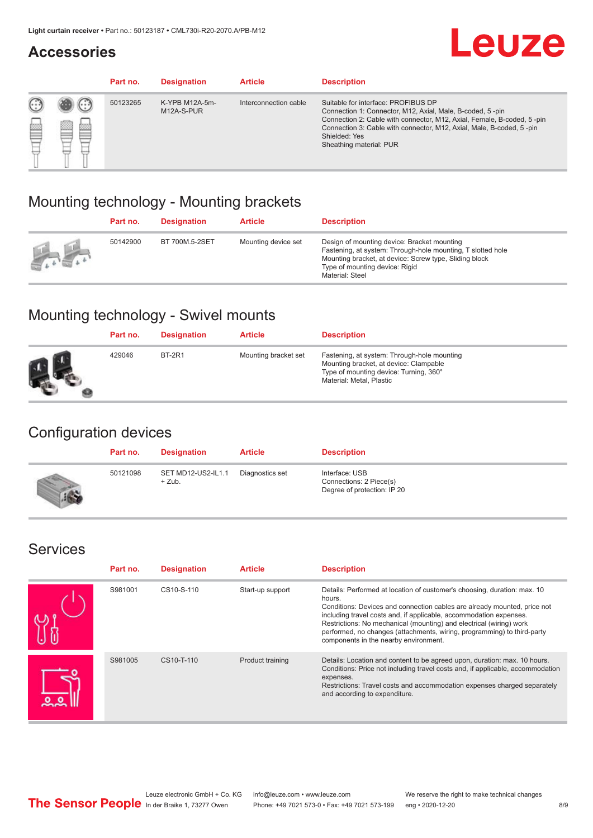#### **Accessories**

## **Leuze**

|   |        | Part no. | <b>Designation</b>           | <b>Article</b>        | <b>Description</b>                                                                                                                                                                                                                                                                             |
|---|--------|----------|------------------------------|-----------------------|------------------------------------------------------------------------------------------------------------------------------------------------------------------------------------------------------------------------------------------------------------------------------------------------|
| 您 | ×<br>一 | 50123265 | K-YPB M12A-5m-<br>M12A-S-PUR | Interconnection cable | Suitable for interface: PROFIBUS DP<br>Connection 1: Connector, M12, Axial, Male, B-coded, 5-pin<br>Connection 2: Cable with connector, M12, Axial, Female, B-coded, 5-pin<br>Connection 3: Cable with connector, M12, Axial, Male, B-coded, 5-pin<br>Shielded: Yes<br>Sheathing material: PUR |

#### Mounting technology - Mounting brackets

|                                                 | Part no. | <b>Designation</b> | <b>Article</b>      | <b>Description</b>                                                                                                                                                                                                        |
|-------------------------------------------------|----------|--------------------|---------------------|---------------------------------------------------------------------------------------------------------------------------------------------------------------------------------------------------------------------------|
| $\frac{1}{2} \sum_{n=1}^{\infty} \frac{1}{n^2}$ | 50142900 | BT 700M.5-2SET     | Mounting device set | Design of mounting device: Bracket mounting<br>Fastening, at system: Through-hole mounting, T slotted hole<br>Mounting bracket, at device: Screw type, Sliding block<br>Type of mounting device: Rigid<br>Material: Steel |

## Mounting technology - Swivel mounts

| Part no. | <b>Designation</b> | <b>Article</b>       | <b>Description</b>                                                                                                                                          |
|----------|--------------------|----------------------|-------------------------------------------------------------------------------------------------------------------------------------------------------------|
| 429046   | <b>BT-2R1</b>      | Mounting bracket set | Fastening, at system: Through-hole mounting<br>Mounting bracket, at device: Clampable<br>Type of mounting device: Turning, 360°<br>Material: Metal, Plastic |

#### Configuration devices

| Part no. | <b>Designation</b>             | <b>Article</b>  | <b>Description</b>                                                       |
|----------|--------------------------------|-----------------|--------------------------------------------------------------------------|
| 50121098 | SET MD12-US2-IL1.1<br>$+$ Zub. | Diagnostics set | Interface: USB<br>Connections: 2 Piece(s)<br>Degree of protection: IP 20 |

#### Services

| Part no. | <b>Designation</b> | <b>Article</b>   | <b>Description</b>                                                                                                                                                                                                                                                                                                                                                                                                              |
|----------|--------------------|------------------|---------------------------------------------------------------------------------------------------------------------------------------------------------------------------------------------------------------------------------------------------------------------------------------------------------------------------------------------------------------------------------------------------------------------------------|
| S981001  | CS10-S-110         | Start-up support | Details: Performed at location of customer's choosing, duration: max. 10<br>hours.<br>Conditions: Devices and connection cables are already mounted, price not<br>including travel costs and, if applicable, accommodation expenses.<br>Restrictions: No mechanical (mounting) and electrical (wiring) work<br>performed, no changes (attachments, wiring, programming) to third-party<br>components in the nearby environment. |
| S981005  | CS10-T-110         | Product training | Details: Location and content to be agreed upon, duration: max. 10 hours.<br>Conditions: Price not including travel costs and, if applicable, accommodation<br>expenses.<br>Restrictions: Travel costs and accommodation expenses charged separately<br>and according to expenditure.                                                                                                                                           |